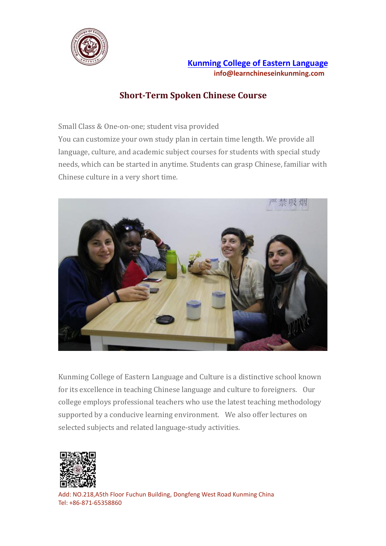

# **Short-Term Spoken Chinese Course**

Small Class & One-on-one; student visa provided

You can customize your own study plan in certain time length. We provide all language, culture, and academic subject courses for students with special study needs, which can be started in anytime. Students can grasp Chinese, familiar with Chinese culture in a very short time.



Kunming College of Eastern Language and Culture is a distinctive school known for its excellence in teaching Chinese language and culture to foreigners. Our college employs professional teachers who use the latest teaching methodology supported by a conducive learning environment. We also offer lectures on selected subjects and related language-study activities.

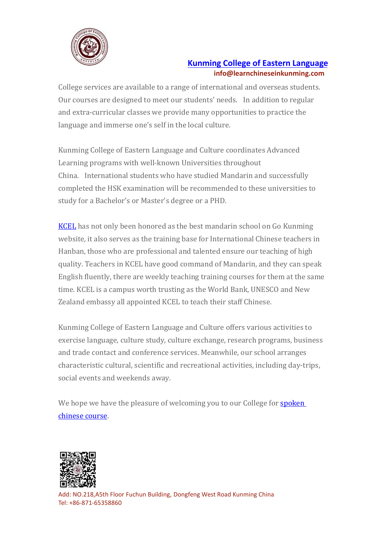

College services are available to a range of international and overseas students. Our courses are designed to meet our students' needs. In addition to regular and extra-curricular classes we provide many opportunities to practice the language and immerse one's self in the local culture.

Kunming College of Eastern Language and Culture coordinates Advanced Learning programs with well-known Universities throughout China. International students who have studied Mandarin and successfully completed the HSK examination will be recommended to these universities to study for a Bachelor's or Master's degree or a PHD.

[KCEL](https://www.learnchineseinkunming.com/) has not only been honored as the best mandarin school on Go Kunming website, it also serves as the training base for International Chinese teachers in Hanban, those who are professional and talented ensure our teaching of high quality. Teachers in KCEL have good command of Mandarin, and they can speak English fluently, there are weekly teaching training courses for them at the same time. KCEL is a campus worth trusting as the World Bank, UNESCO and New Zealand embassy all appointed KCEL to teach their staff Chinese.

Kunming College of Eastern Language and Culture offers various activities to exercise language, culture study, culture exchange, research programs, business and trade contact and conference services. Meanwhile, our school arranges characteristic cultural, scientific and recreationalactivities, including day-trips, social events and weekends away.

We hope we have the pleasure of welcoming you to our College for **[spoken](https://www.learnchineseinkunming.com/short-term-spoken-chinese.html)** chinese course.

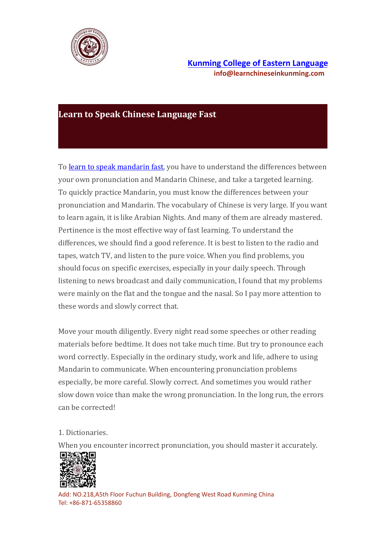

### **Learn to Speak Chinese Language Fast**

To learn to speak [mandarin](https://www.learnchineseinkunming.com/resources/learn-to-speak-mandarin-fast.html) fast, you have to understand the differences between your own pronunciation and Mandarin Chinese, and take a targeted learning. To quickly practice Mandarin, you must know the differencesbetween your pronunciation and Mandarin. The vocabulary of Chinese is very large. If you want to learn again, it is like Arabian Nights. And many of them are already mastered. Pertinence is the most effective way of fast learning. To understand the differences, we should find a good reference. It is best to listen to the radio and tapes, watch TV, and listen to the pure voice. When you find problems, you should focus on specific exercises, especially in your daily speech. Through listening to news broadcast and daily communication, I found that my problems were mainly on the flat and the tongue and the nasal. So I pay more attention to these words and slowly correct that.

Move your mouth diligently. Every night read some speeches or other reading materials before bedtime. It does not take much time. But try to pronounce each word correctly. Especially in the ordinary study, work and life, adhere to using Mandarin to communicate.When encountering pronunciation problems especially, be more careful. Slowly correct. And sometimes you would rather slow down voice than make the wrong pronunciation. In the long run, the errors can be corrected!

#### 1. Dictionaries.

When you encounter incorrect pronunciation, you should master it accurately.